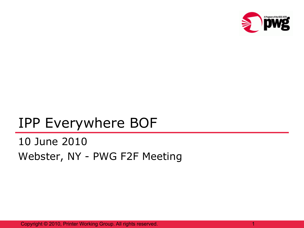

1

## IPP Everywhere BOF

## 10 June 2010 Webster, NY - PWG F2F Meeting

Copyright © 2010, Printer Working Group. All rights reserved.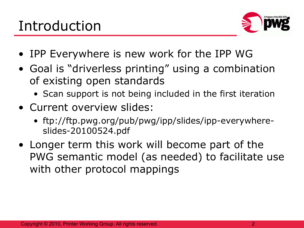

- IPP Everywhere is new work for the IPP WG
- Goal is "driverless printing" using a combination of existing open standards
	- Scan support is not being included in the first iteration
- Current overview slides:
	- ftp://ftp.pwg.org/pub/pwg/ipp/slides/ipp-everywhereslides-20100524.pdf
- Longer term this work will become part of the PWG semantic model (as needed) to facilitate use with other protocol mappings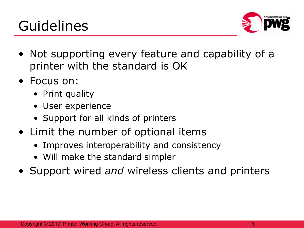## Guidelines



- Not supporting every feature and capability of a printer with the standard is OK
- Focus on:
	- Print quality
	- User experience
	- Support for all kinds of printers
- Limit the number of optional items
	- Improves interoperability and consistency
	- Will make the standard simpler
- Support wired *and* wireless clients and printers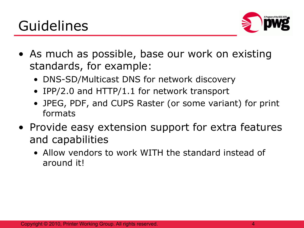

- As much as possible, base our work on existing standards, for example:
	- DNS-SD/Multicast DNS for network discovery
	- IPP/2.0 and HTTP/1.1 for network transport
	- JPEG, PDF, and CUPS Raster (or some variant) for print formats
- Provide easy extension support for extra features and capabilities
	- Allow vendors to work WITH the standard instead of around it!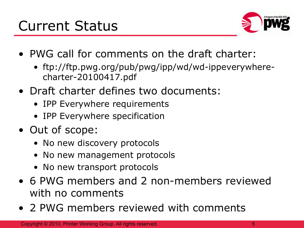

- PWG call for comments on the draft charter:
	- ftp://ftp.pwg.org/pub/pwg/ipp/wd/wd-ippeverywherecharter-20100417.pdf
- Draft charter defines two documents:
	- IPP Everywhere requirements
	- IPP Everywhere specification
- Out of scope:
	- No new discovery protocols
	- No new management protocols
	- No new transport protocols
- 6 PWG members and 2 non-members reviewed with no comments
- 2 PWG members reviewed with comments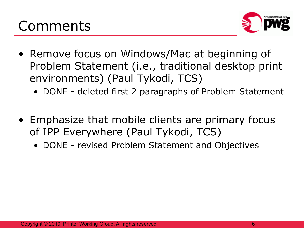

- Remove focus on Windows/Mac at beginning of Problem Statement (i.e., traditional desktop print environments) (Paul Tykodi, TCS)
	- DONE deleted first 2 paragraphs of Problem Statement
- Emphasize that mobile clients are primary focus of IPP Everywhere (Paul Tykodi, TCS)
	- DONE revised Problem Statement and Objectives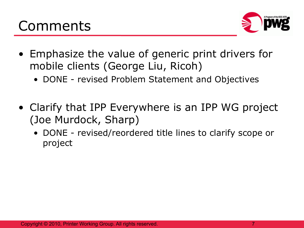

- Emphasize the value of generic print drivers for mobile clients (George Liu, Ricoh)
	- DONE revised Problem Statement and Objectives
- Clarify that IPP Everywhere is an IPP WG project (Joe Murdock, Sharp)
	- DONE revised/reordered title lines to clarify scope or project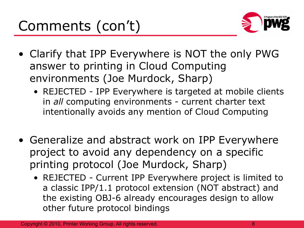

- Clarify that IPP Everywhere is NOT the only PWG answer to printing in Cloud Computing environments (Joe Murdock, Sharp)
	- REJECTED IPP Everywhere is targeted at mobile clients in *all* computing environments - current charter text intentionally avoids any mention of Cloud Computing
- Generalize and abstract work on IPP Everywhere project to avoid any dependency on a specific printing protocol (Joe Murdock, Sharp)
	- REJECTED Current IPP Everywhere project is limited to a classic IPP/1.1 protocol extension (NOT abstract) and the existing OBJ-6 already encourages design to allow other future protocol bindings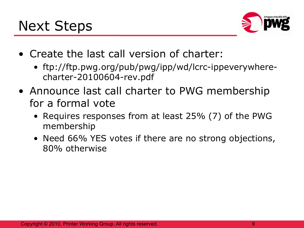

- Create the last call version of charter:
	- ftp://ftp.pwg.org/pub/pwg/ipp/wd/lcrc-ippeverywherecharter-20100604-rev.pdf
- Announce last call charter to PWG membership for a formal vote
	- Requires responses from at least 25% (7) of the PWG membership
	- Need 66% YES votes if there are no strong objections, 80% otherwise